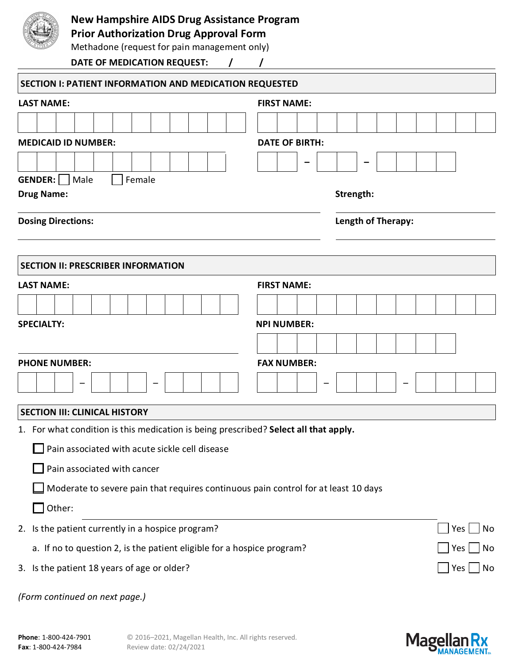

## **New Hampshire AIDS Drug Assistance Program**

**Prior Authorization Drug Approval Form**

Methadone (request for pain management only)

**DATE OF MEDICATION REQUEST: / /**

| SECTION I: PATIENT INFORMATION AND MEDICATION REQUESTED                              |                          |  |  |  |  |  |  |  |  |  |  |  |  |
|--------------------------------------------------------------------------------------|--------------------------|--|--|--|--|--|--|--|--|--|--|--|--|
| <b>LAST NAME:</b>                                                                    | <b>FIRST NAME:</b>       |  |  |  |  |  |  |  |  |  |  |  |  |
|                                                                                      |                          |  |  |  |  |  |  |  |  |  |  |  |  |
| <b>MEDICAID ID NUMBER:</b>                                                           | <b>DATE OF BIRTH:</b>    |  |  |  |  |  |  |  |  |  |  |  |  |
|                                                                                      |                          |  |  |  |  |  |  |  |  |  |  |  |  |
| GENDER:<br>Female<br>Male                                                            |                          |  |  |  |  |  |  |  |  |  |  |  |  |
| <b>Drug Name:</b>                                                                    | Strength:                |  |  |  |  |  |  |  |  |  |  |  |  |
| <b>Dosing Directions:</b>                                                            | Length of Therapy:       |  |  |  |  |  |  |  |  |  |  |  |  |
|                                                                                      |                          |  |  |  |  |  |  |  |  |  |  |  |  |
| <b>SECTION II: PRESCRIBER INFORMATION</b>                                            |                          |  |  |  |  |  |  |  |  |  |  |  |  |
| <b>LAST NAME:</b>                                                                    | <b>FIRST NAME:</b>       |  |  |  |  |  |  |  |  |  |  |  |  |
|                                                                                      |                          |  |  |  |  |  |  |  |  |  |  |  |  |
| <b>SPECIALTY:</b>                                                                    | <b>NPI NUMBER:</b>       |  |  |  |  |  |  |  |  |  |  |  |  |
|                                                                                      |                          |  |  |  |  |  |  |  |  |  |  |  |  |
| <b>PHONE NUMBER:</b>                                                                 | <b>FAX NUMBER:</b>       |  |  |  |  |  |  |  |  |  |  |  |  |
|                                                                                      |                          |  |  |  |  |  |  |  |  |  |  |  |  |
| <b>SECTION III: CLINICAL HISTORY</b>                                                 |                          |  |  |  |  |  |  |  |  |  |  |  |  |
| 1. For what condition is this medication is being prescribed? Select all that apply. |                          |  |  |  |  |  |  |  |  |  |  |  |  |
| Pain associated with acute sickle cell disease                                       |                          |  |  |  |  |  |  |  |  |  |  |  |  |
| Pain associated with cancer                                                          |                          |  |  |  |  |  |  |  |  |  |  |  |  |
| Moderate to severe pain that requires continuous pain control for at least 10 days   |                          |  |  |  |  |  |  |  |  |  |  |  |  |
| Other:                                                                               |                          |  |  |  |  |  |  |  |  |  |  |  |  |
| 2. Is the patient currently in a hospice program?                                    | $Yes \nightharpoonup No$ |  |  |  |  |  |  |  |  |  |  |  |  |
| a. If no to question 2, is the patient eligible for a hospice program?               |                          |  |  |  |  |  |  |  |  |  |  |  |  |
| 3. Is the patient 18 years of age or older?                                          |                          |  |  |  |  |  |  |  |  |  |  |  |  |
| (Form continued on next page.)                                                       |                          |  |  |  |  |  |  |  |  |  |  |  |  |

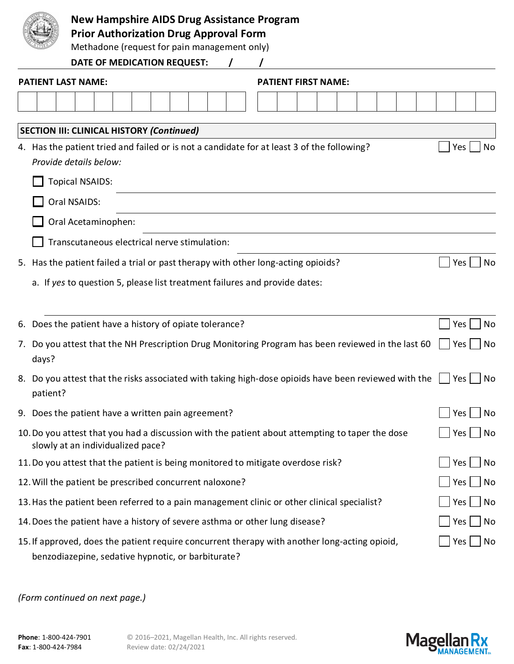|    |          | <b>New Hampshire AIDS Drug Assistance Program</b><br><b>Prior Authorization Drug Approval Form</b><br>Methadone (request for pain management only)  |     |    |
|----|----------|-----------------------------------------------------------------------------------------------------------------------------------------------------|-----|----|
|    |          | DATE OF MEDICATION REQUEST:                                                                                                                         |     |    |
|    |          | <b>PATIENT LAST NAME:</b><br><b>PATIENT FIRST NAME:</b>                                                                                             |     |    |
|    |          |                                                                                                                                                     |     |    |
|    |          |                                                                                                                                                     |     |    |
|    |          | <b>SECTION III: CLINICAL HISTORY (Continued)</b>                                                                                                    |     |    |
|    |          | 4. Has the patient tried and failed or is not a candidate for at least 3 of the following?<br>Provide details below:                                | Yes | No |
|    |          | <b>Topical NSAIDS:</b>                                                                                                                              |     |    |
|    |          | Oral NSAIDS:                                                                                                                                        |     |    |
|    |          | Oral Acetaminophen:                                                                                                                                 |     |    |
|    |          | Transcutaneous electrical nerve stimulation:                                                                                                        |     |    |
|    |          |                                                                                                                                                     |     |    |
|    |          | 5. Has the patient failed a trial or past therapy with other long-acting opioids?                                                                   | Yes | No |
|    |          | a. If yes to question 5, please list treatment failures and provide dates:                                                                          |     |    |
|    |          |                                                                                                                                                     |     |    |
| 6. |          | Does the patient have a history of opiate tolerance?                                                                                                | Yes | No |
| 7. | days?    | Do you attest that the NH Prescription Drug Monitoring Program has been reviewed in the last 60                                                     | Yes | No |
|    | patient? | 8. Do you attest that the risks associated with taking high-dose opioids have been reviewed with the                                                | Yes | No |
|    |          | 9. Does the patient have a written pain agreement?                                                                                                  | Yes | No |
|    |          | 10. Do you attest that you had a discussion with the patient about attempting to taper the dose<br>slowly at an individualized pace?                | Yes | No |
|    |          | 11. Do you attest that the patient is being monitored to mitigate overdose risk?                                                                    | Yes | No |
|    |          | 12. Will the patient be prescribed concurrent naloxone?                                                                                             | Yes | No |
|    |          | 13. Has the patient been referred to a pain management clinic or other clinical specialist?                                                         | Yes | No |
|    |          | 14. Does the patient have a history of severe asthma or other lung disease?                                                                         | Yes | No |
|    |          | 15. If approved, does the patient require concurrent therapy with another long-acting opioid,<br>benzodiazepine, sedative hypnotic, or barbiturate? | Yes | No |

*(Form continued on next page.)*



 $\overline{\phantom{a}}$